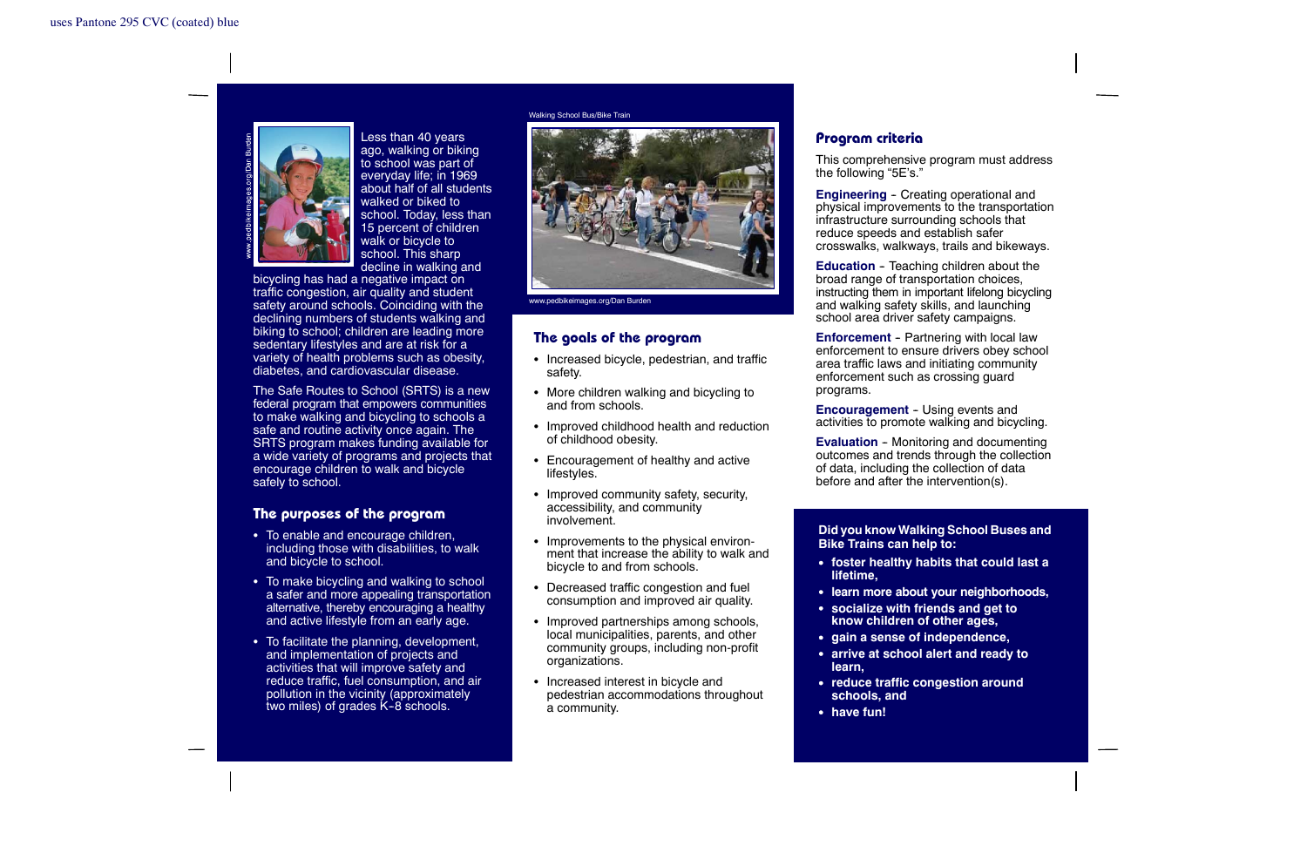

Less than 40 years ago, walking or biking to school was part of everyday life; in 1969 about half of all studentswalked or biked toschool. Today, less than 15 percent of children walk or bicycle to school. This sharp decline in walking and

bicycling has had <sup>a</sup> negative impact on traffic congestion, air quality and student safety around schools. Coinciding with the declining numbers of students walking and biking to school; children are leading more sedentary lifestyles and are at risk for a variety of health problems such as obesity, diabetes, and cardiovascular disease.

The Safe Routes to School (SRTS) is <sup>a</sup> new federal program that empowers communities to make walking and bicycling to schools <sup>a</sup> safe and routine activity once again. The SRTS program makes funding available for <sup>a</sup> wide variety of programs and projects that encourage children to walk and bicycle safely to school.

### **The purposes of the program**

- $\bullet$  To enable and encourage children, including those with disabilities, to walk and bicycle to school.
- $\bullet~$  To make bicycling and walking to school <sup>a</sup> safer and more appealing transportation alternative, thereby encouraging <sup>a</sup> healthy and active lifestyle from an early age.
- $\bullet~$  To facilitate the planning, development, and implementation of projects and activities that will improve safety and reduce traffic, fuel consumption, and air pollution in the vicinity (approximately two miles) of grades  $K-8$  schools.

Walking School Bus/Bike Train



www.pedbikeimages.org/Dan Burden

#### **The goals of the program**

- Increased bicycle, pedestrian, and traffic safety.
- $\bullet~$  More children walking and bicycling to and from schools.
- Improved childhood health and reduction of childhood obesity.
- Encouragement of healthy and active lifestyles.
- $\bullet~$  Improved community safety, security, accessibility, and community involvement.
- $\bullet$  Improvements to the physical environment that increase the ability to walk and bicycle to and from schools.
- $\bullet~$  Decreased traffic congestion and fuel consumption and improved air quality.
- Improved partnerships among schools, local municipalities, parents, and other community groups, including non-profit organizations.
- $\bullet~$  Increased interest in bicycle and pedestrian accommodations throughout <sup>a</sup> community.

## **Program criteria**

This comprehensive program must address the following "5E's."

**Engineering** - Creating operational and physical improvements to the transportation infrastructure surrounding schools that reduce speeds and establish safer crosswalks, walkways, trails and bikeways.

**Education** - Teaching children about the broad range of transportation choices, instructing them in important lifelong bicycling and walking safety skills, and launching school area driver safety campaigns.

**Enforcement** - Partnering with local law enforcement to ensure drivers obey school area traffic laws and initiating community enforcement such as crossing guard programs.

**Encouragement** - Using events and activities to promote walking and bicycling.

**Evaluation** - Monitoring and documenting outcomes and trends through the collection of data, including the collection of data before and after the intervention(s).

**Did you know Walking School Buses and Bike Trains can help to:**

- S **foster healthy habits that could last <sup>a</sup> lifetime,**
- S **learn more about your neighborhoods,**
- S **socialize with friends and get to know children of other ages,**
- S **gain <sup>a</sup> sense of independence,**
- S **arrive at school alert and ready to learn,**
- S **reduce traffic congestion around schools, and**
- have fun!